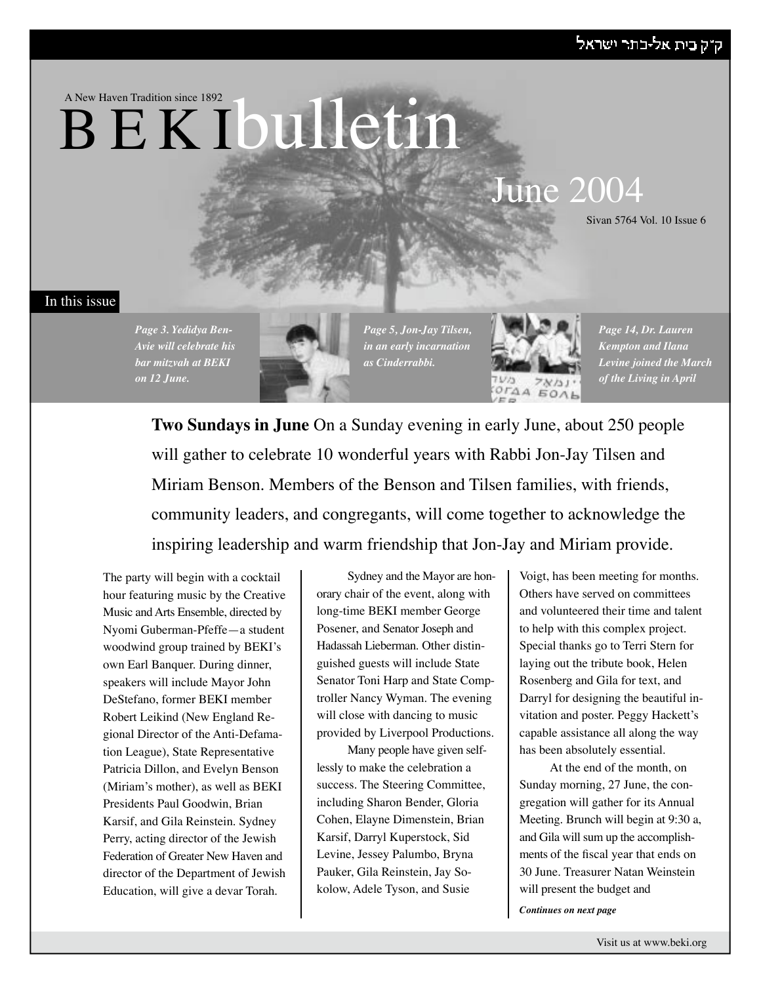# ק"ק בית אל-בתר ישראל

A New Haven Tradition since 1892

# **BEKIbulletin**

# June 2004

Sivan 5764 Vol. 10 Issue 6

### In this issue





*Page 5, Jon-Jay Tilsen, in an early incarnation as Cinderrabbi.* 



*Page 14, Dr. Lauren Kempton and Ilana Levine joined the March of the Living in April*

**Two Sundays in June** On a Sunday evening in early June, about 250 people will gather to celebrate 10 wonderful years with Rabbi Jon-Jay Tilsen and Miriam Benson. Members of the Benson and Tilsen families, with friends, community leaders, and congregants, will come together to acknowledge the inspiring leadership and warm friendship that Jon-Jay and Miriam provide.

The party will begin with a cocktail hour featuring music by the Creative Music and Arts Ensemble, directed by Nyomi Guberman-Pfeffe—a student woodwind group trained by BEKI's own Earl Banquer. During dinner, speakers will include Mayor John DeStefano, former BEKI member Robert Leikind (New England Regional Director of the Anti-Defamation League), State Representative Patricia Dillon, and Evelyn Benson (Miriam's mother), as well as BEKI Presidents Paul Goodwin, Brian Karsif, and Gila Reinstein. Sydney Perry, acting director of the Jewish Federation of Greater New Haven and director of the Department of Jewish Education, will give a devar Torah.

Sydney and the Mayor are honorary chair of the event, along with long-time BEKI member George Posener, and Senator Joseph and Hadassah Lieberman. Other distinguished guests will include State Senator Toni Harp and State Comptroller Nancy Wyman. The evening will close with dancing to music provided by Liverpool Productions.

Many people have given selflessly to make the celebration a success. The Steering Committee, including Sharon Bender, Gloria Cohen, Elayne Dimenstein, Brian Karsif, Darryl Kuperstock, Sid Levine, Jessey Palumbo, Bryna Pauker, Gila Reinstein, Jay Sokolow, Adele Tyson, and Susie

Voigt, has been meeting for months. Others have served on committees and volunteered their time and talent to help with this complex project. Special thanks go to Terri Stern for laying out the tribute book, Helen Rosenberg and Gila for text, and Darryl for designing the beautiful invitation and poster. Peggy Hackett's capable assistance all along the way has been absolutely essential.

At the end of the month, on Sunday morning, 27 June, the congregation will gather for its Annual Meeting. Brunch will begin at 9:30 a, and Gila will sum up the accomplishments of the fiscal year that ends on 30 June. Treasurer Natan Weinstein will present the budget and

*Continues on next page*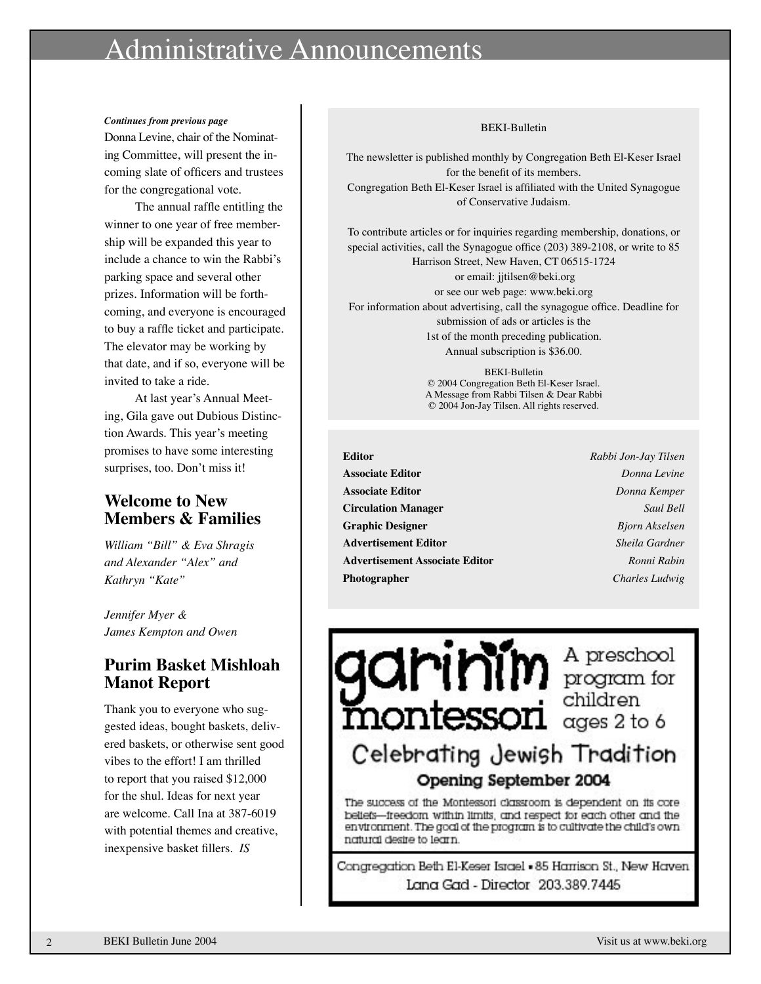# inistrative Announcements

#### *Continues from previous page*

Donna Levine, chair of the Nominating Committee, will present the incoming slate of officers and trustees for the congregational vote.

The annual raffle entitling the winner to one year of free membership will be expanded this year to include a chance to win the Rabbi's parking space and several other prizes. Information will be forthcoming, and everyone is encouraged to buy a raffle ticket and participate. The elevator may be working by that date, and if so, everyone will be invited to take a ride.

At last year's Annual Meeting, Gila gave out Dubious Distinction Awards. This year's meeting promises to have some interesting surprises, too. Don't miss it!

# **Welcome to New Members & Families**

*William "Bill" & Eva Shragis and Alexander "Alex" and Kathryn "Kate"*

*Jennifer Myer & James Kempton and Owen*

# **Purim Basket Mishloah Manot Report**

Thank you to everyone who suggested ideas, bought baskets, delivered baskets, or otherwise sent good vibes to the effort! I am thrilled to report that you raised \$12,000 for the shul. Ideas for next year are welcome. Call Ina at 387-6019 with potential themes and creative, inexpensive basket fillers. *IS*

#### BEKI-Bulletin

The newsletter is published monthly by Congregation Beth El-Keser Israel for the benefit of its members. Congregation Beth El-Keser Israel is affiliated with the United Synagogue of Conservative Judaism.

To contribute articles or for inquiries regarding membership, donations, or special activities, call the Synagogue office (203) 389-2108, or write to 85 Harrison Street, New Haven, CT 06515-1724

 or email: jjtilsen@beki.org or see our web page: www.beki.org For information about advertising, call the synagogue office. Deadline for submission of ads or articles is the 1st of the month preceding publication. Annual subscription is \$36.00.

> BEKI-Bulletin © 2004 Congregation Beth El-Keser Israel. A Message from Rabbi Tilsen & Dear Rabbi © 2004 Jon-Jay Tilsen. All rights reserved.

- **Editor** *Rabbi Jon-Jay Tilsen* **Associate Editor** *Donna Levine* **Associate Editor** *Donna Kemper* **Circulation Manager** *Saul Bell* **Graphic Designer** *Bjorn Akselsen* **Advertisement Editor** *Sheila Gardner* **Advertisement Associate Editor** *Ronni Rabin* **Photographer** *Charles Ludwig*
	-

 $\sum_{\text{mod of } n} \prod_{\text{mod } n} \prod_{\text{mod } n} \text{ for } n$ Celebrating Jewish Tradition Opening September 2004

The success of the Montessori classroom is dependent on its corebeliefs--freedom within limits, and respect for each other and the environment. The goal of the program is to cultivate the child's own natural desire to learn.

Congregation Beth El-Keser Israel - 85 Harrison St., New Haven Lana Gad - Director 203.389.7445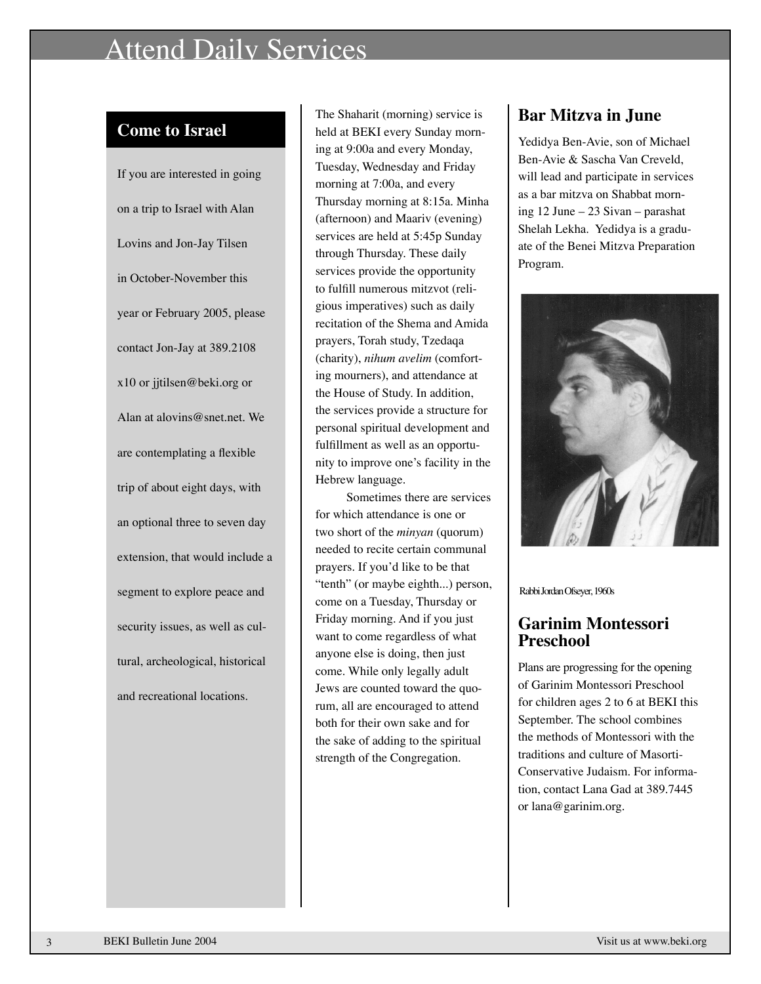# Attend Daily Services

# **Come to Israel**

If you are interested in going on a trip to Israel with Alan Lovins and Jon-Jay Tilsen in October-November this year or February 2005, please contact Jon-Jay at 389.2108 x10 or jjtilsen@beki.org or Alan at alovins@snet.net. We are contemplating a flexible trip of about eight days, with an optional three to seven day extension, that would include a segment to explore peace and security issues, as well as cultural, archeological, historical and recreational locations.

The Shaharit (morning) service is held at BEKI every Sunday morning at 9:00a and every Monday, Tuesday, Wednesday and Friday morning at 7:00a, and every Thursday morning at 8:15a. Minha (afternoon) and Maariv (evening) services are held at 5:45p Sunday through Thursday. These daily services provide the opportunity to fulfill numerous mitzvot (religious imperatives) such as daily recitation of the Shema and Amida prayers, Torah study, Tzedaqa (charity), *nihum avelim* (comforting mourners), and attendance at the House of Study. In addition, the services provide a structure for personal spiritual development and fulfillment as well as an opportunity to improve one's facility in the Hebrew language.

Sometimes there are services for which attendance is one or two short of the *minyan* (quorum) needed to recite certain communal prayers. If you'd like to be that "tenth" (or maybe eighth...) person, come on a Tuesday, Thursday or Friday morning. And if you just want to come regardless of what anyone else is doing, then just come. While only legally adult Jews are counted toward the quorum, all are encouraged to attend both for their own sake and for the sake of adding to the spiritual strength of the Congregation.

# **Bar Mitzva in June**

Yedidya Ben-Avie, son of Michael Ben-Avie & Sascha Van Creveld, will lead and participate in services as a bar mitzva on Shabbat morning 12 June – 23 Sivan – parashat Shelah Lekha. Yedidya is a graduate of the Benei Mitzva Preparation Program.



Rabbi Jordan Ofseyer, 1960s

# **Garinim Montessori Preschool**

Plans are progressing for the opening of Garinim Montessori Preschool for children ages 2 to 6 at BEKI this September. The school combines the methods of Montessori with the traditions and culture of Masorti-Conservative Judaism. For information, contact Lana Gad at 389.7445 or lana@garinim.org.

3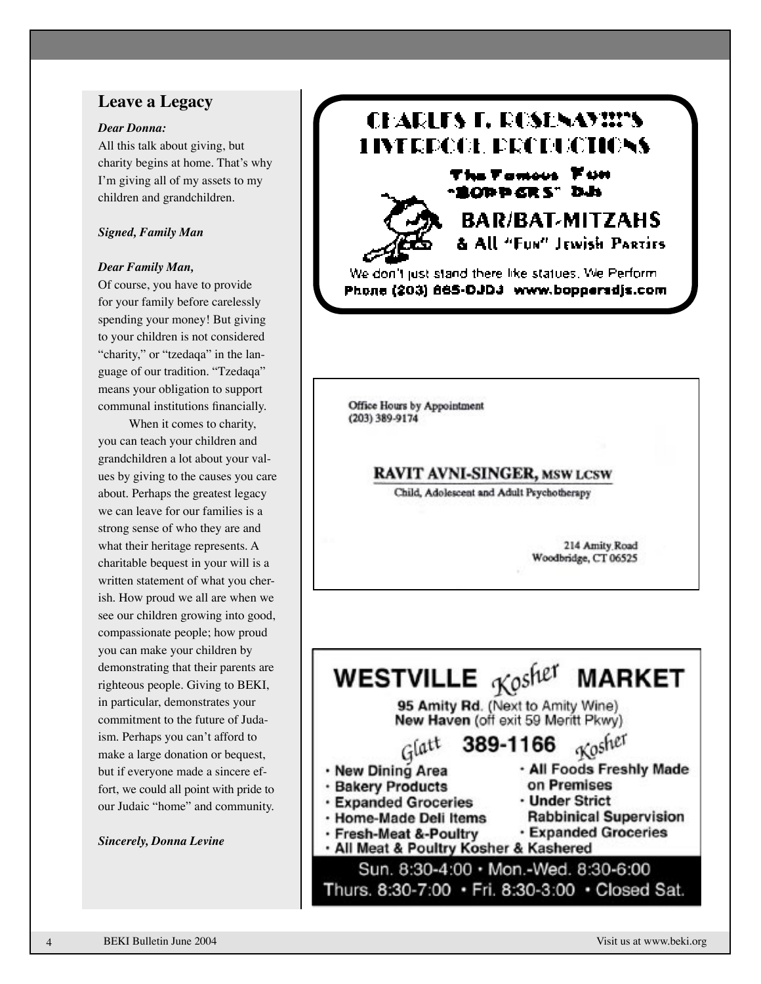### **Leave a Legacy**

#### *Dear Donna:*

All this talk about giving, but charity begins at home. That's why I'm giving all of my assets to my children and grandchildren.

### *Signed, Family Man*

#### *Dear Family Man,*

Of course, you have to provide for your family before carelessly spending your money! But giving to your children is not considered "charity," or "tzedaqa" in the lan guage of our tradition. "Tzedaqa" means your obligation to support communal institutions financially.

When it comes to charity, you can teach your children and grandchildren a lot about your val ues by giving to the causes you care about. Perhaps the greatest legacy we can leave for our families is a strong sense of who they are and what their heritage represents. A charitable bequest in your will is a written statement of what you cher ish. How proud we all are when we see our children growing into good, compassionate people; how proud you can make your children by demonstrating that their parents are righteous people. Giving to BEKI, in particular, demonstrates your commitment to the future of Juda ism. Perhaps you can't afford to make a large donation or bequest, but if everyone made a sincere effort, we could all point with pride to our Judaic "home" and community.

#### *Sincerely, Donna Levine*



We don't just stand there like statues. We Perform Phone (203) 865-DJDJ - www.bopperadjs.com

*RAR/BAT-MITZAHS* & All "Fun" Jewish PARTIES

Office Hours by Appointment (203) 389-9174

### **RAVIT AVNI-SINGER, MSW LCSW**

Child, Adolescent and Adult Psychotherapy

214 Amity Road Woodbridge, CT 06525

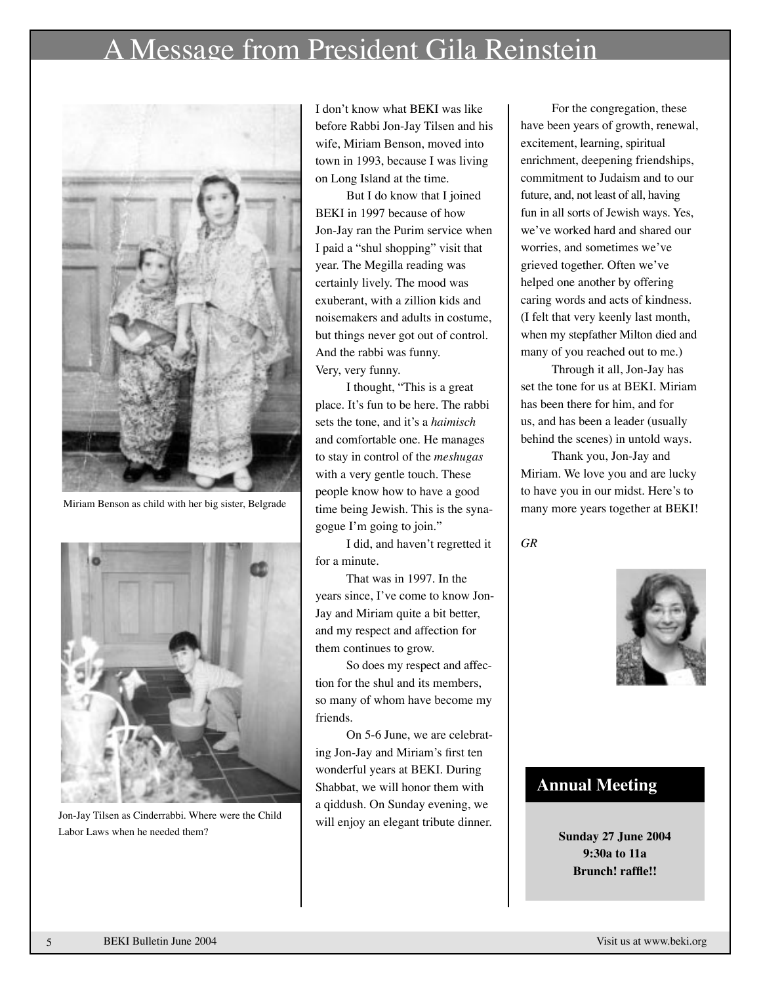# A Message from President Gila Reinstein



Miriam Benson as child with her big sister, Belgrade



Jon-Jay Tilsen as Cinderrabbi. Where were the Child Labor Laws when he needed them?

I don't know what BEKI was like before Rabbi Jon-Jay Tilsen and his wife, Miriam Benson, moved into town in 1993, because I was living on Long Island at the time.

But I do know that I joined BEKI in 1997 because of how Jon-Jay ran the Purim service when I paid a "shul shopping" visit that year. The Megilla reading was certainly lively. The mood was exuberant, with a zillion kids and noisemakers and adults in costume, but things never got out of control. And the rabbi was funny. Very, very funny.

 I thought, "This is a great place. It's fun to be here. The rabbi sets the tone, and it's a *haimisch* and comfortable one. He manages to stay in control of the *meshugas* with a very gentle touch. These people know how to have a good time being Jewish. This is the synagogue I'm going to join."

I did, and haven't regretted it for a minute.

That was in 1997. In the years since, I've come to know Jon-Jay and Miriam quite a bit better, and my respect and affection for them continues to grow.

So does my respect and affection for the shul and its members, so many of whom have become my friends.

On 5-6 June, we are celebrating Jon-Jay and Miriam's first ten wonderful years at BEKI. During Shabbat, we will honor them with a qiddush. On Sunday evening, we will enjoy an elegant tribute dinner.

 For the congregation, these have been years of growth, renewal, excitement, learning, spiritual enrichment, deepening friendships, commitment to Judaism and to our future, and, not least of all, having fun in all sorts of Jewish ways. Yes, we've worked hard and shared our worries, and sometimes we've grieved together. Often we've helped one another by offering caring words and acts of kindness. (I felt that very keenly last month, when my stepfather Milton died and many of you reached out to me.)

Through it all, Jon-Jay has set the tone for us at BEKI. Miriam has been there for him, and for us, and has been a leader (usually behind the scenes) in untold ways.

Thank you, Jon-Jay and Miriam. We love you and are lucky to have you in our midst. Here's to many more years together at BEKI!

*GR*



### **Annual Meeting**

**Sunday 27 June 2004 9:30a to 11a Brunch! raffle!!** 

5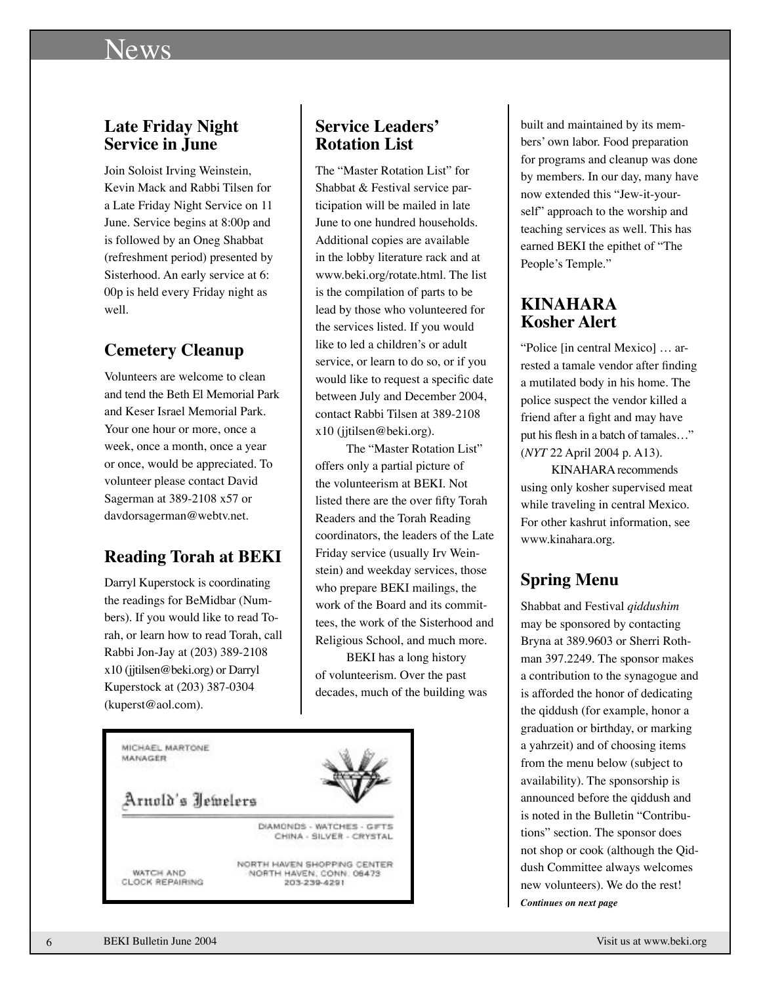# News

### **Late Friday Night Service in June**

Join Soloist Irving Weinstein, Kevin Mack and Rabbi Tilsen for a Late Friday Night Service on 11 June. Service begins at 8:00p and is followed by an Oneg Shabbat (refreshment period) presented by Sisterhood. An early service at 6: 00p is held every Friday night as well.

# **Cemetery Cleanup**

Volunteers are welcome to clean and tend the Beth El Memorial Park and Keser Israel Memorial Park. Your one hour or more, once a week, once a month, once a year or once, would be appreciated. To volunteer please contact David Sagerman at 389-2108 x57 or davdorsagerman@webtv.net.

# **Reading Torah at BEKI**

Darryl Kuperstock is coordinating the readings for BeMidbar (Numbers). If you would like to read Torah, or learn how to read Torah, call Rabbi Jon-Jay at (203) 389-2108 x10 (jjtilsen@beki.org) or Darryl Kuperstock at (203) 387-0304 (kuperst@aol.com).

# **Service Leaders' Rotation List**

The "Master Rotation List" for Shabbat & Festival service participation will be mailed in late June to one hundred households. Additional copies are available in the lobby literature rack and at www.beki.org/rotate.html. The list is the compilation of parts to be lead by those who volunteered for the services listed. If you would like to led a children's or adult service, or learn to do so, or if you would like to request a specific date between July and December 2004, contact Rabbi Tilsen at 389-2108 x10 (jjtilsen@beki.org).

The "Master Rotation List" offers only a partial picture of the volunteerism at BEKI. Not listed there are the over fifty Torah Readers and the Torah Reading coordinators, the leaders of the Late Friday service (usually Irv Weinstein) and weekday services, those who prepare BEKI mailings, the work of the Board and its committees, the work of the Sisterhood and Religious School, and much more.

BEKI has a long history of volunteerism. Over the past decades, much of the building was



built and maintained by its members' own labor. Food preparation for programs and cleanup was done by members. In our day, many have now extended this "Jew-it-yourself" approach to the worship and teaching services as well. This has earned BEKI the epithet of "The People's Temple."

### **KINAHARA Kosher Alert**

"Police [in central Mexico] … arrested a tamale vendor after finding a mutilated body in his home. The police suspect the vendor killed a friend after a fight and may have put his flesh in a batch of tamales…" (*NYT* 22 April 2004 p. A13).

KINAHARA recommends using only kosher supervised meat while traveling in central Mexico. For other kashrut information, see www.kinahara.org.

# **Spring Menu**

Shabbat and Festival *qiddushim* may be sponsored by contacting Bryna at 389.9603 or Sherri Rothman 397.2249. The sponsor makes a contribution to the synagogue and is afforded the honor of dedicating the qiddush (for example, honor a graduation or birthday, or marking a yahrzeit) and of choosing items from the menu below (subject to availability). The sponsorship is announced before the qiddush and is noted in the Bulletin "Contributions" section. The sponsor does not shop or cook (although the Qiddush Committee always welcomes new volunteers). We do the rest! *Continues on next page*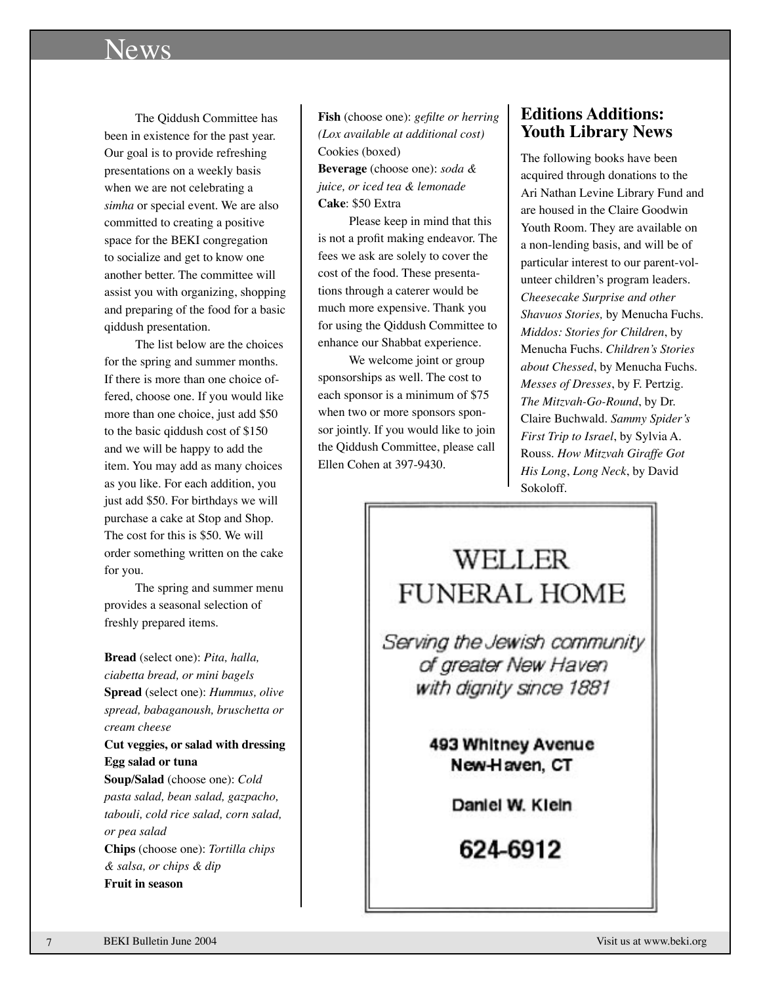# News

The Qiddush Committee has been in existence for the past year. Our goal is to provide refreshing presentations on a weekly basis when we are not celebrating a *simha* or special event. We are also committed to creating a positive space for the BEKI congregation to socialize and get to know one another better. The committee will assist you with organizing, shopping and preparing of the food for a basic qiddush presentation.

The list below are the choices for the spring and summer months. If there is more than one choice offered, choose one. If you would like more than one choice, just add \$50 to the basic qiddush cost of \$150 and we will be happy to add the item. You may add as many choices as you like. For each addition, you just add \$50. For birthdays we will purchase a cake at Stop and Shop. The cost for this is \$50. We will order something written on the cake for you.

The spring and summer menu provides a seasonal selection of freshly prepared items.

**Bread** (select one): *Pita, halla, ciabetta bread, or mini bagels* **Spread** (select one): *Hummus, olive spread, babaganoush, bruschetta or cream cheese*

**Cut veggies, or salad with dressing Egg salad or tuna**

**Soup/Salad** (choose one): *Cold pasta salad, bean salad, gazpacho, tabouli, cold rice salad, corn salad, or pea salad* **Chips** (choose one): *Tortilla chips & salsa, or chips & dip* **Fruit in season**

**Fish** (choose one): *gefilte or herring (Lox available at additional cost)* Cookies (boxed) **Beverage** (choose one): *soda & juice, or iced tea & lemonade* **Cake**: \$50 Extra

Please keep in mind that this is not a profit making endeavor. The fees we ask are solely to cover the cost of the food. These presentations through a caterer would be much more expensive. Thank you for using the Qiddush Committee to enhance our Shabbat experience.

We welcome joint or group sponsorships as well. The cost to each sponsor is a minimum of \$75 when two or more sponsors sponsor jointly. If you would like to join the Qiddush Committee, please call Ellen Cohen at 397-9430.

### **Editions Additions: Youth Library News**

The following books have been acquired through donations to the Ari Nathan Levine Library Fund and are housed in the Claire Goodwin Youth Room. They are available on a non-lending basis, and will be of particular interest to our parent-volunteer children's program leaders. *Cheesecake Surprise and other Shavuos Stories,* by Menucha Fuchs. *Middos: Stories for Children*, by Menucha Fuchs. *Children's Stories about Chessed*, by Menucha Fuchs. *Messes of Dresses*, by F. Pertzig. *The Mitzvah-Go-Round*, by Dr. Claire Buchwald. *Sammy Spider's First Trip to Israel*, by Sylvia A. Rouss. *How Mitzvah Giraffe Got His Long*, *Long Neck*, by David Sokoloff.

# WELLER **FUNERAL HOME**

Serving the Jewish community of greater New Haven with dignity since 1881

> 493 Whitney Avenue New-Haven, CT

> > Daniel W. Kieln

624-6912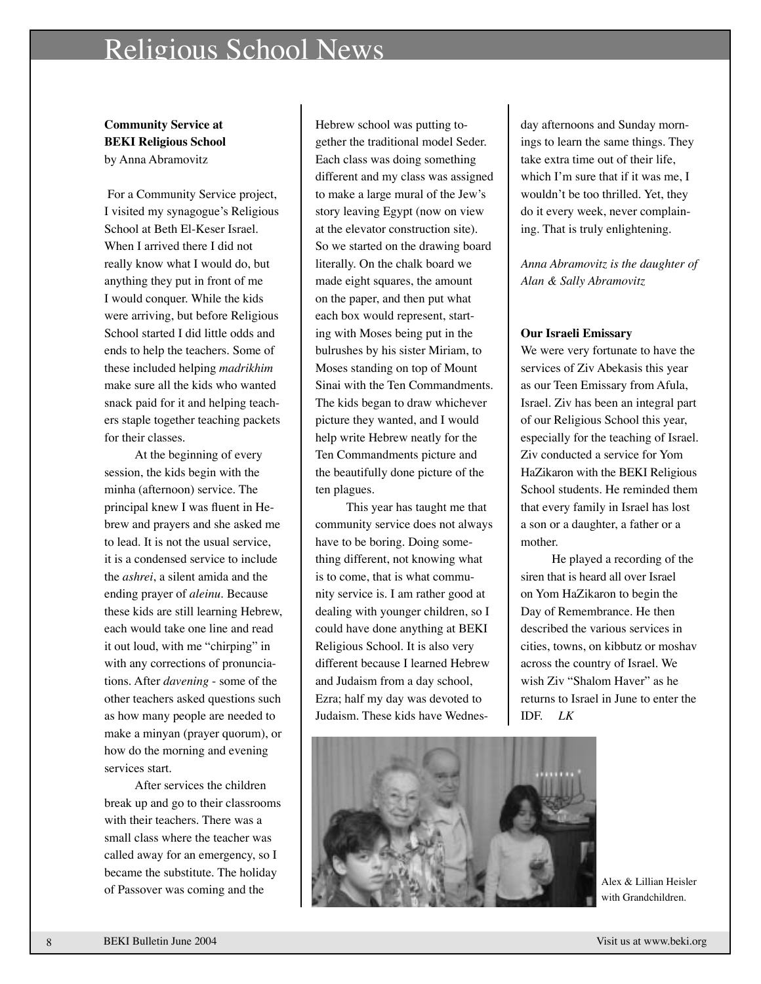# Religious School News

**Community Service at BEKI Religious School**  by Anna Abramovitz

 For a Community Service project, I visited my synagogue's Religious School at Beth El-Keser Israel. When I arrived there I did not really know what I would do, but anything they put in front of me I would conquer. While the kids were arriving, but before Religious School started I did little odds and ends to help the teachers. Some of these included helping *madrikhim* make sure all the kids who wanted snack paid for it and helping teachers staple together teaching packets for their classes.

At the beginning of every session, the kids begin with the minha (afternoon) service. The principal knew I was fluent in Hebrew and prayers and she asked me to lead. It is not the usual service, it is a condensed service to include the *ashrei*, a silent amida and the ending prayer of *aleinu*. Because these kids are still learning Hebrew, each would take one line and read it out loud, with me "chirping" in with any corrections of pronunciations. After *davening* - some of the other teachers asked questions such as how many people are needed to make a minyan (prayer quorum), or how do the morning and evening services start.

After services the children break up and go to their classrooms with their teachers. There was a small class where the teacher was called away for an emergency, so I became the substitute. The holiday of Passover was coming and the

Hebrew school was putting together the traditional model Seder. Each class was doing something different and my class was assigned to make a large mural of the Jew's story leaving Egypt (now on view at the elevator construction site). So we started on the drawing board literally. On the chalk board we made eight squares, the amount on the paper, and then put what each box would represent, starting with Moses being put in the bulrushes by his sister Miriam, to Moses standing on top of Mount Sinai with the Ten Commandments. The kids began to draw whichever picture they wanted, and I would help write Hebrew neatly for the Ten Commandments picture and the beautifully done picture of the ten plagues.

This year has taught me that community service does not always have to be boring. Doing something different, not knowing what is to come, that is what community service is. I am rather good at dealing with younger children, so I could have done anything at BEKI Religious School. It is also very different because I learned Hebrew and Judaism from a day school, Ezra; half my day was devoted to Judaism. These kids have Wednes-

day afternoons and Sunday mornings to learn the same things. They take extra time out of their life, which I'm sure that if it was me, I wouldn't be too thrilled. Yet, they do it every week, never complaining. That is truly enlightening.

*Anna Abramovitz is the daughter of Alan & Sally Abramovitz*

#### **Our Israeli Emissary**

We were very fortunate to have the services of Ziv Abekasis this year as our Teen Emissary from Afula, Israel. Ziv has been an integral part of our Religious School this year, especially for the teaching of Israel. Ziv conducted a service for Yom HaZikaron with the BEKI Religious School students. He reminded them that every family in Israel has lost a son or a daughter, a father or a mother.

He played a recording of the siren that is heard all over Israel on Yom HaZikaron to begin the Day of Remembrance. He then described the various services in cities, towns, on kibbutz or moshav across the country of Israel. We wish Ziv "Shalom Haver" as he returns to Israel in June to enter the IDF. *LK*



Alex & Lillian Heisler with Grandchildren.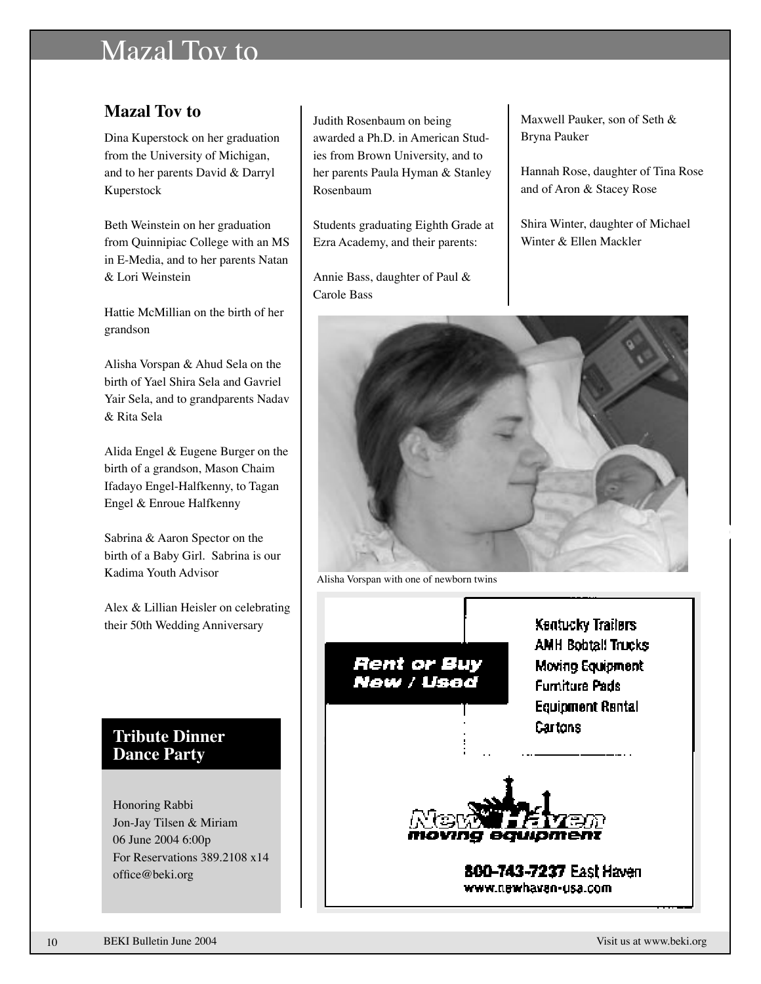# Mazal Tov to

# **Mazal Tov to**

Dina Kuperstock on her graduation from the University of Michigan, and to her parents David & Darryl Kuperstock

Beth Weinstein on her graduation from Quinnipiac College with an MS in E-Media, and to her parents Natan & Lori Weinstein

Hattie McMillian on the birth of her grandson

Alisha Vorspan & Ahud Sela on the birth of Yael Shira Sela and Gavriel Yair Sela, and to grandparents Nadav & Rita Sela

Alida Engel & Eugene Burger on the birth of a grandson, Mason Chaim Ifadayo Engel-Halfkenny, to Tagan Engel & Enroue Halfkenny

Sabrina & Aaron Spector on the birth of a Baby Girl. Sabrina is our Kadima Youth Advisor

Alex & Lillian Heisler on celebrating their 50th Wedding Anniversary

### **Tribute Dinner Dance Party**

Honoring Rabbi Jon-Jay Tilsen & Miriam 06 June 2004 6:00p For Reservations 389.2108 x14 office@beki.org

Judith Rosenbaum on being awarded a Ph.D. in American Studies from Brown University, and to her parents Paula Hyman & Stanley Rosenbaum

Students graduating Eighth Grade at Ezra Academy, and their parents:

Annie Bass, daughter of Paul & Carole Bass

Maxwell Pauker, son of Seth & Bryna Pauker

Hannah Rose, daughter of Tina Rose and of Aron & Stacey Rose

Shira Winter, daughter of Michael Winter & Ellen Mackler



Alisha Vorspan with one of newborn twins



10

Dear Rabbi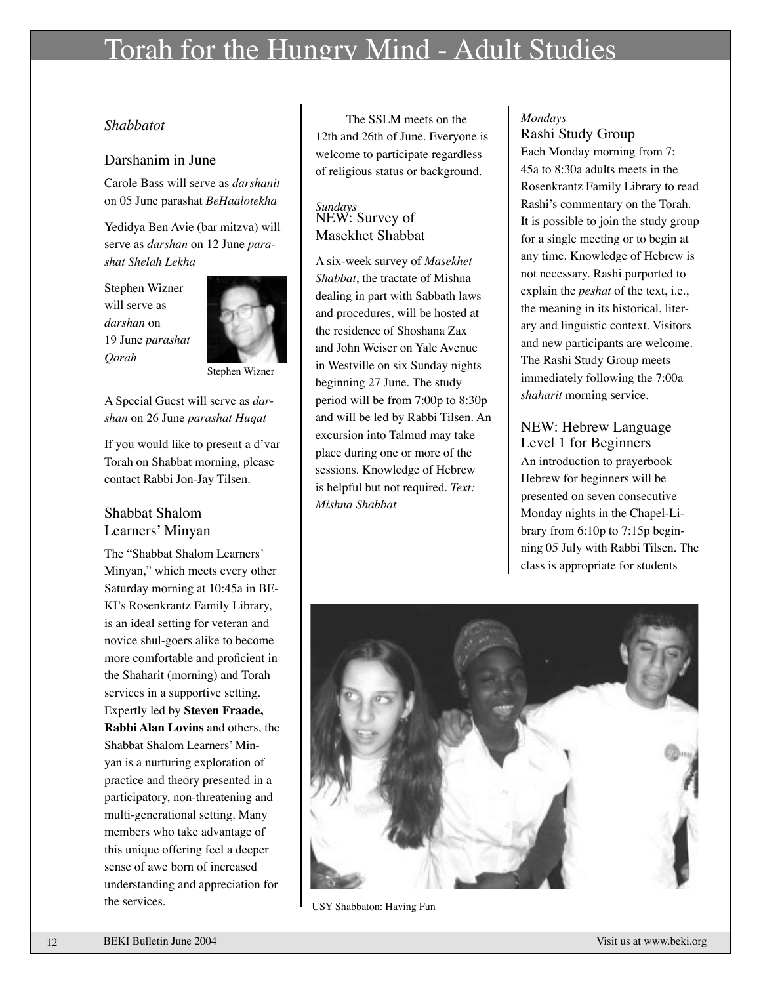# Torah for the Hungry Mind - Adult Studies

### *Shabbatot*

### Darshanim in June

Carole Bass will serve as *darshanit* on 05 June parashat *BeHaalotekha*

Yedidya Ben Avie (bar mitzva) will serve as *darshan* on 12 June *parashat Shelah Lekha*

Stephen Wizner will serve as *darshan* on 19 June *parashat Qorah*



A Special Guest will serve as *darshan* on 26 June *parashat Huqat*

If you would like to present a d'var Torah on Shabbat morning, please contact Rabbi Jon-Jay Tilsen.

### Shabbat Shalom Learners' Minyan

The "Shabbat Shalom Learners' Minyan," which meets every other Saturday morning at 10:45a in BE-KI's Rosenkrantz Family Library, is an ideal setting for veteran and novice shul-goers alike to become more comfortable and proficient in the Shaharit (morning) and Torah services in a supportive setting. Expertly led by **Steven Fraade, Rabbi Alan Lovins** and others, the Shabbat Shalom Learners' Minyan is a nurturing exploration of practice and theory presented in a participatory, non-threatening and multi-generational setting. Many members who take advantage of this unique offering feel a deeper sense of awe born of increased understanding and appreciation for the services.

The SSLM meets on the 12th and 26th of June. Everyone is welcome to participate regardless of religious status or background.

### *Sundays* NEW: Survey of Masekhet Shabbat

A six-week survey of *Masekhet Shabbat*, the tractate of Mishna dealing in part with Sabbath laws and procedures, will be hosted at the residence of Shoshana Zax and John Weiser on Yale Avenue in Westville on six Sunday nights beginning 27 June. The study period will be from 7:00p to 8:30p and will be led by Rabbi Tilsen. An excursion into Talmud may take place during one or more of the sessions. Knowledge of Hebrew is helpful but not required. *Text: Mishna Shabbat*

### *Mondays* Rashi Study Group

Each Monday morning from 7: 45a to 8:30a adults meets in the Rosenkrantz Family Library to read Rashi's commentary on the Torah. It is possible to join the study group for a single meeting or to begin at any time. Knowledge of Hebrew is not necessary. Rashi purported to explain the *peshat* of the text, i.e., the meaning in its historical, literary and linguistic context. Visitors and new participants are welcome. The Rashi Study Group meets immediately following the 7:00a *shaharit* morning service.

### NEW: Hebrew Language Level 1 for Beginners An introduction to prayerbook Hebrew for beginners will be presented on seven consecutive Monday nights in the Chapel-Library from 6:10p to 7:15p beginning 05 July with Rabbi Tilsen. The class is appropriate for students



USY Shabbaton: Having Fun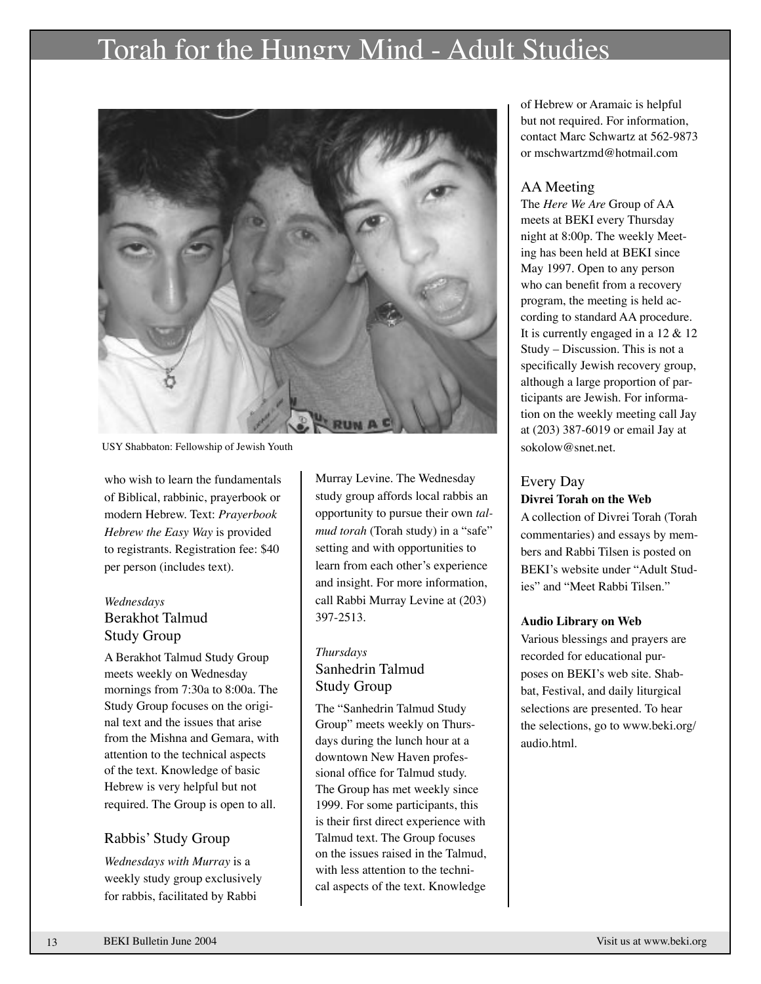# Torah for the Hungry Mind - Adult Studies



USY Shabbaton: Fellowship of Jewish Youth

who wish to learn the fundamentals of Biblical, rabbinic, prayerbook or modern Hebrew. Text: *Prayerbook Hebrew the Easy Way* is provided to registrants. Registration fee: \$40 per person (includes text).

### *Wednesdays* Berakhot Talmud Study Group

A Berakhot Talmud Study Group meets weekly on Wednesday mornings from 7:30a to 8:00a. The Study Group focuses on the original text and the issues that arise from the Mishna and Gemara, with attention to the technical aspects of the text. Knowledge of basic Hebrew is very helpful but not required. The Group is open to all.

#### Rabbis' Study Group

*Wednesdays with Murray* is a weekly study group exclusively for rabbis, facilitated by Rabbi

Murray Levine. The Wednesday study group affords local rabbis an opportunity to pursue their own *talmud torah* (Torah study) in a "safe" setting and with opportunities to learn from each other's experience and insight. For more information, call Rabbi Murray Levine at (203) 397-2513.

### *Thursdays* Sanhedrin Talmud Study Group

The "Sanhedrin Talmud Study Group" meets weekly on Thursdays during the lunch hour at a downtown New Haven professional office for Talmud study. The Group has met weekly since 1999. For some participants, this is their first direct experience with Talmud text. The Group focuses on the issues raised in the Talmud, with less attention to the technical aspects of the text. Knowledge

of Hebrew or Aramaic is helpful but not required. For information, contact Marc Schwartz at 562-9873 or mschwartzmd@hotmail.com

### AA Meeting

The *Here We Are* Group of AA meets at BEKI every Thursday night at 8:00p. The weekly Meeting has been held at BEKI since May 1997. Open to any person who can benefit from a recovery program, the meeting is held according to standard AA procedure. It is currently engaged in a 12 & 12 Study – Discussion. This is not a specifically Jewish recovery group, although a large proportion of participants are Jewish. For information on the weekly meeting call Jay at (203) 387-6019 or email Jay at sokolow@snet.net.

### Every Day

#### **Divrei Torah on the Web**

A collection of Divrei Torah (Torah commentaries) and essays by members and Rabbi Tilsen is posted on BEKI's website under "Adult Studies" and "Meet Rabbi Tilsen."

#### **Audio Library on Web**

Various blessings and prayers are recorded for educational purposes on BEKI's web site. Shabbat, Festival, and daily liturgical selections are presented. To hear the selections, go to www.beki.org/ audio.html.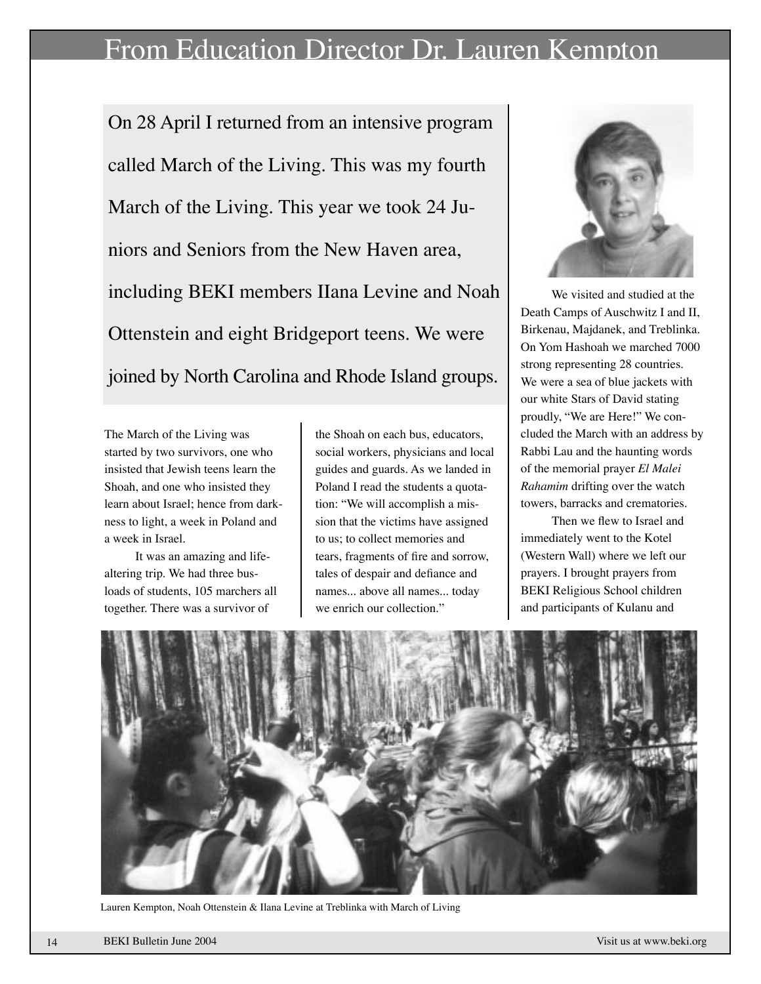# From Education Director Dr. Lauren Kempton

On 28 April I returned from an intensive program called March of the Living. This was my fourth March of the Living. This year we took 24 Juniors and Seniors from the New Haven area, including BEKI members IIana Levine and Noah Ottenstein and eight Bridgeport teens. We were joined by North Carolina and Rhode Island groups.

The March of the Living was started by two survivors, one who insisted that Jewish teens learn the Shoah, and one who insisted they learn about Israel; hence from darkness to light, a week in Poland and a week in Israel.

It was an amazing and lifealtering trip. We had three busloads of students, 105 marchers all together. There was a survivor of

the Shoah on each bus, educators, social workers, physicians and local guides and guards. As we landed in Poland I read the students a quotation: "We will accomplish a mission that the victims have assigned to us; to collect memories and tears, fragments of fire and sorrow, tales of despair and defiance and names... above all names... today we enrich our collection."



We visited and studied at the Death Camps of Auschwitz I and II, Birkenau, Majdanek, and Treblinka. On Yom Hashoah we marched 7000 strong representing 28 countries. We were a sea of blue jackets with our white Stars of David stating proudly, "We are Here!" We concluded the March with an address by Rabbi Lau and the haunting words of the memorial prayer *El Malei Rahamim* drifting over the watch towers, barracks and crematories.

 Then we flew to Israel and immediately went to the Kotel (Western Wall) where we left our prayers. I brought prayers from BEKI Religious School children and participants of Kulanu and



Lauren Kempton, Noah Ottenstein & Ilana Levine at Treblinka with March of Living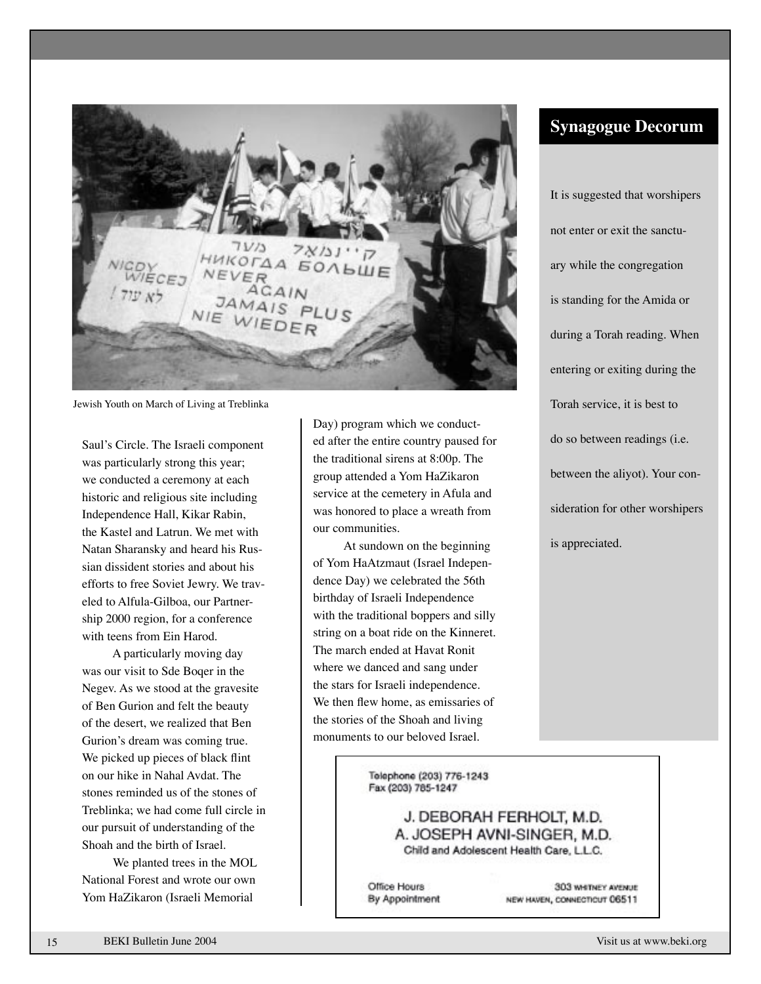$71/13$ **HKOTAA SONBULE** NEVER JAMAIS

Jewish Youth on March of Living at Treblinka

Saul's Circle. The Israeli component was particularly strong this year; we conducted a ceremony at each historic and religious site including Independence Hall, Kikar Rabin, the Kastel and Latrun. We met with Natan Sharansky and heard his Russian dissident stories and about his efforts to free Soviet Jewry. We traveled to Alfula-Gilboa, our Partnership 2000 region, for a conference with teens from Ein Harod.

A particularly moving day was our visit to Sde Boqer in the Negev. As we stood at the gravesite of Ben Gurion and felt the beauty of the desert, we realized that Ben Gurion's dream was coming true. We picked up pieces of black flint on our hike in Nahal Avdat. The stones reminded us of the stones of Treblinka; we had come full circle in our pursuit of understanding of the Shoah and the birth of Israel.

We planted trees in the MOL National Forest and wrote our own Yom HaZikaron (Israeli Memorial

Day) program which we conducted after the entire country paused for the traditional sirens at 8:00p. The group attended a Yom HaZikaron service at the cemetery in Afula and was honored to place a wreath from our communities.

At sundown on the beginning of Yom HaAtzmaut (Israel Independence Day) we celebrated the 56th birthday of Israeli Independence with the traditional boppers and silly string on a boat ride on the Kinneret. The march ended at Havat Ronit where we danced and sang under the stars for Israeli independence. We then flew home, as emissaries of the stories of the Shoah and living monuments to our beloved Israel.

**Synagogue Decorum**

It is suggested that worshipers not enter or exit the sanctuary while the congregation is standing for the Amida or during a Torah reading. When entering or exiting during the Torah service, it is best to do so between readings (i.e. between the aliyot). Your consideration for other worshipers is appreciated.

Telephone (203) 776-1243 Fax (203) 785-1247

> J. DEBORAH FERHOLT, M.D. A. JOSEPH AVNI-SINGER, M.D. Child and Adolescent Health Care, L.L.C.

Office Hours By Appointment

**303 WEDNEY AVENUE** NEW HAVEN, CONNECTICUT 06511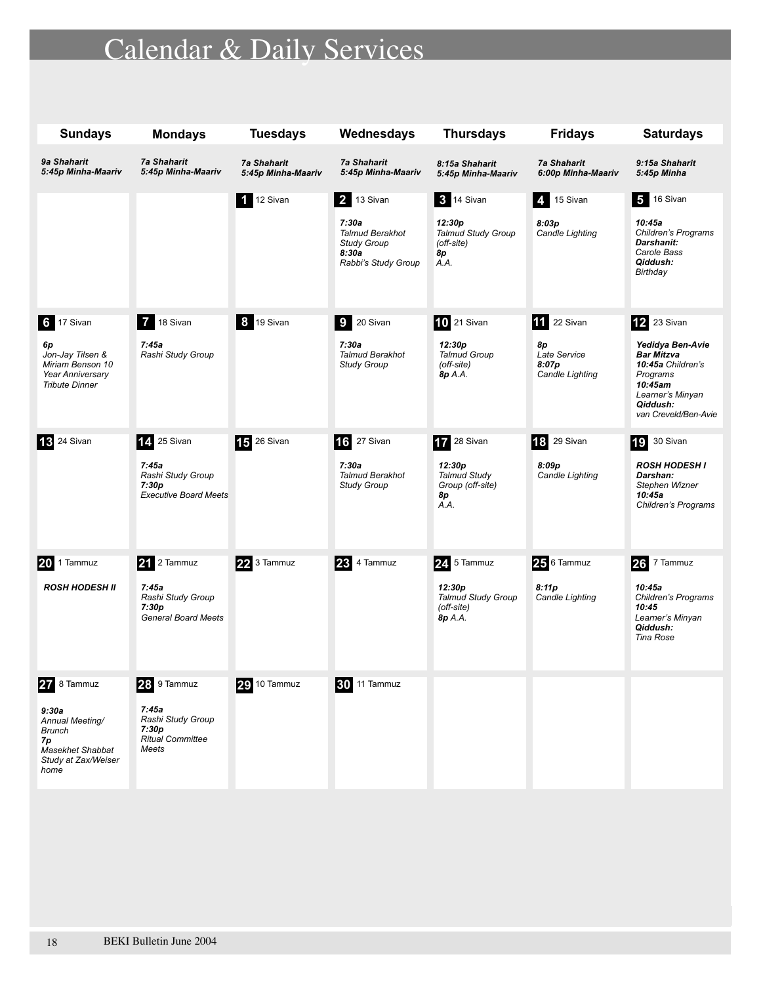# Calendar & Daily Services

| <b>Sundays</b>                                                                                                    | <b>Mondays</b>                                                                         | <b>Tuesdays</b>                          | Wednesdays                                                                                                 | <b>Thursdays</b>                                                                     | <b>Fridays</b>                                                       | <b>Saturdays</b>                                                                                                                                                |
|-------------------------------------------------------------------------------------------------------------------|----------------------------------------------------------------------------------------|------------------------------------------|------------------------------------------------------------------------------------------------------------|--------------------------------------------------------------------------------------|----------------------------------------------------------------------|-----------------------------------------------------------------------------------------------------------------------------------------------------------------|
| 9a Shaharit<br>5:45p Minha-Maariv                                                                                 | <b>7a Shaharit</b><br>5:45p Minha-Maariv                                               | <b>7a Shaharit</b><br>5:45p Minha-Maariv | <b>7a Shaharit</b><br>5:45p Minha-Maariv                                                                   | 8:15a Shaharit<br>5:45p Minha-Maariv                                                 | <b>7a Shaharit</b><br>6:00p Minha-Maariv                             | 9:15a Shaharit<br>5:45p Minha                                                                                                                                   |
|                                                                                                                   |                                                                                        | 1 12 Sivan                               | <b>2</b> 13 Sivan<br>7:30a<br><b>Talmud Berakhot</b><br><b>Study Group</b><br>8:30a<br>Rabbi's Study Group | <b>3</b> 14 Sivan<br>12:30p<br><b>Talmud Study Group</b><br>(off-site)<br>8р<br>A.A. | 4 15 Sivan<br>8:03p<br>Candle Lighting                               | $5$ 16 Sivan<br>10:45a<br>Children's Programs<br>Darshanit:<br>Carole Bass<br>Qiddush:<br>Birthday                                                              |
| 6 17 Sivan<br>6p<br>Jon-Jay Tilsen &<br>Miriam Benson 10<br><b>Year Anniversary</b><br><b>Tribute Dinner</b>      | 7 18 Sivan<br>7:45a<br>Rashi Study Group                                               | <b>8</b> 19 Sivan                        | <b>9</b><br>20 Sivan<br>7:30a<br><b>Talmud Berakhot</b><br><b>Study Group</b>                              | 10 21 Sivan<br>12:30p<br><b>Talmud Group</b><br>(off-site)<br>8p A.A.                | <b>11</b> 22 Sivan<br>8р<br>Late Service<br>8:07p<br>Candle Lighting | <b>12</b> 23 Sivan<br>Yedidya Ben-Avie<br><b>Bar Mitzva</b><br>10:45a Children's<br>Programs<br>10:45am<br>Learner's Minyan<br>Qiddush:<br>van Creveld/Ben-Avie |
| <b>13</b> 24 Sivan                                                                                                | 14, 25 Sivan<br>7:45a<br>Rashi Study Group<br>7:30p<br><b>Executive Board Meets</b>    | 15 26 Sivan                              | <b>16</b> 27 Sivan<br>7:30a<br><b>Talmud Berakhot</b><br><b>Study Group</b>                                | 17 28 Sivan<br>12:30p<br><b>Talmud Study</b><br>Group (off-site)<br>8р<br>A.A.       | <b>18</b> 29 Sivan<br>8:09p<br>Candle Lighting                       | <b>19</b> 30 Sivan<br><b>ROSH HODESH I</b><br>Darshan:<br>Stephen Wizner<br>10:45a<br>Children's Programs                                                       |
| 20<br>1 Tammuz<br><b>ROSH HODESH II</b>                                                                           | 21 2 Tammuz<br>7:45a<br>Rashi Study Group<br>7:30p<br><b>General Board Meets</b>       | 22 3 Tammuz                              | 23 4 Tammuz                                                                                                | 24 5 Tammuz<br>12:30p<br><b>Talmud Study Group</b><br>(off-site)<br>8p A.A.          | 25 6 Tammuz<br>8:11p<br>Candle Lighting                              | 26 7 Tammuz<br>10:45a<br>Children's Programs<br>10:45<br>Learner's Minyan<br>Qiddush:<br><b>Tina Rose</b>                                                       |
| 27 8 Tammuz<br>9:30a<br>Annual Meeting/<br>Brunch<br>7p<br><b>Masekhet Shabbat</b><br>Study at Zax/Weiser<br>home | 28 9 Tammuz<br>7:45a<br>Rashi Study Group<br>7:30p<br><b>Ritual Committee</b><br>Meets | <b>29</b> 10 Tammuz                      | <b>30 11 Tammuz</b>                                                                                        |                                                                                      |                                                                      |                                                                                                                                                                 |